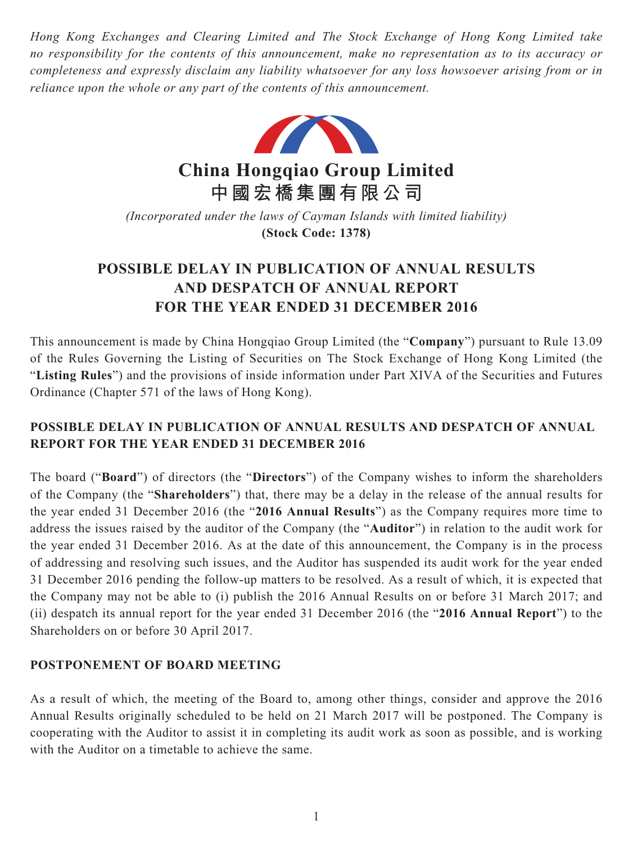*Hong Kong Exchanges and Clearing Limited and The Stock Exchange of Hong Kong Limited take no responsibility for the contents of this announcement, make no representation as to its accuracy or completeness and expressly disclaim any liability whatsoever for any loss howsoever arising from or in reliance upon the whole or any part of the contents of this announcement.*



**China Hongqiao Group Limited 中國宏橋集團有限公司**

*(Incorporated under the laws of Cayman Islands with limited liability)* **(Stock Code: 1378)**

# **POSSIBLE DELAY IN PUBLICATION OF ANNUAL RESULTS AND DESPATCH OF ANNUAL REPORT FOR THE YEAR ENDED 31 DECEMBER 2016**

This announcement is made by China Hongqiao Group Limited (the "**Company**") pursuant to Rule 13.09 of the Rules Governing the Listing of Securities on The Stock Exchange of Hong Kong Limited (the "**Listing Rules**") and the provisions of inside information under Part XIVA of the Securities and Futures Ordinance (Chapter 571 of the laws of Hong Kong).

## **POSSIBLE DELAY IN PUBLICATION OF ANNUAL RESULTS AND DESPATCH OF ANNUAL REPORT FOR THE YEAR ENDED 31 DECEMBER 2016**

The board ("**Board**") of directors (the "**Directors**") of the Company wishes to inform the shareholders of the Company (the "**Shareholders**") that, there may be a delay in the release of the annual results for the year ended 31 December 2016 (the "**2016 Annual Results**") as the Company requires more time to address the issues raised by the auditor of the Company (the "**Auditor**") in relation to the audit work for the year ended 31 December 2016. As at the date of this announcement, the Company is in the process of addressing and resolving such issues, and the Auditor has suspended its audit work for the year ended 31 December 2016 pending the follow-up matters to be resolved. As a result of which, it is expected that the Company may not be able to (i) publish the 2016 Annual Results on or before 31 March 2017; and (ii) despatch its annual report for the year ended 31 December 2016 (the "**2016 Annual Report**") to the Shareholders on or before 30 April 2017.

### **POSTPONEMENT OF BOARD MEETING**

As a result of which, the meeting of the Board to, among other things, consider and approve the 2016 Annual Results originally scheduled to be held on 21 March 2017 will be postponed. The Company is cooperating with the Auditor to assist it in completing its audit work as soon as possible, and is working with the Auditor on a timetable to achieve the same.